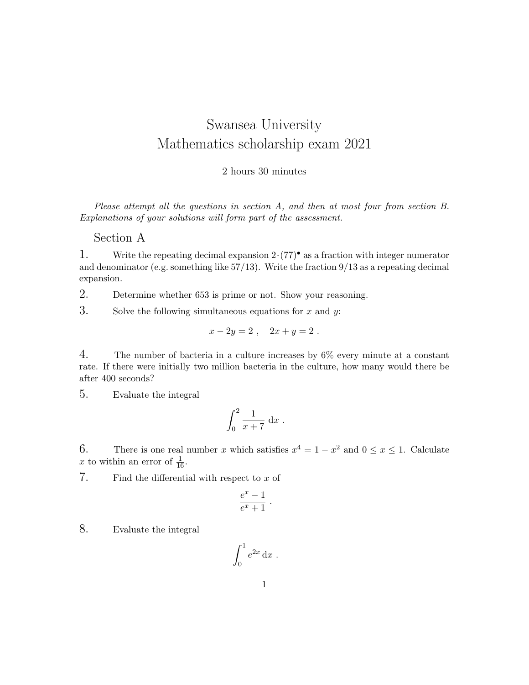## Swansea University Mathematics scholarship exam 2021

## 2 hours 30 minutes

Please attempt all the questions in section A, and then at most four from section B. Explanations of your solutions will form part of the assessment.

## Section A

1. Write the repeating decimal expansion  $2 \cdot (77)^{\bullet}$  as a fraction with integer numerator and denominator (e.g. something like 57/13). Write the fraction 9/13 as a repeating decimal expansion.

2. Determine whether 653 is prime or not. Show your reasoning.

3. Solve the following simultaneous equations for  $x$  and  $y$ :

$$
x - 2y = 2 , \quad 2x + y = 2 .
$$

4. The number of bacteria in a culture increases by  $6\%$  every minute at a constant rate. If there were initially two million bacteria in the culture, how many would there be after 400 seconds?

5. Evaluate the integral

$$
\int_0^2 \frac{1}{x+7} \, \mathrm{d}x \; .
$$

6. There is one real number x which satisfies  $x^4 = 1 - x^2$  and  $0 \le x \le 1$ . Calculate x to within an error of  $\frac{1}{16}$ .

7. Find the differential with respect to  $x$  of

$$
\frac{e^x-1}{e^x+1}.
$$

8. Evaluate the integral

$$
\int_0^1 e^{2x} \, \mathrm{d}x \; .
$$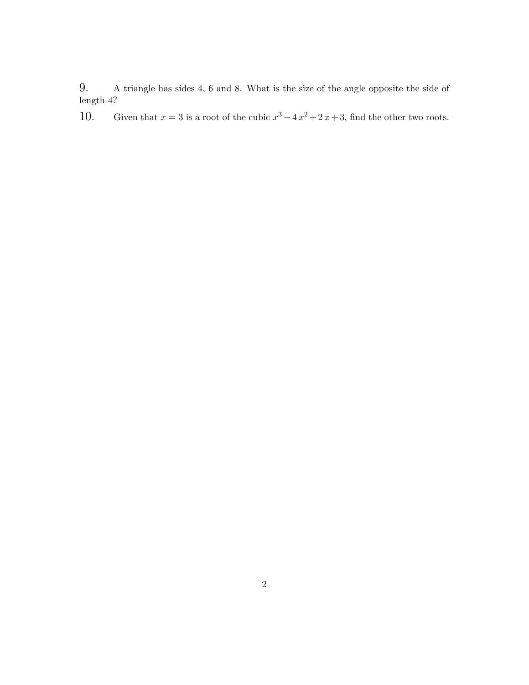9. A triangle has sides 4, 6 and 8. What is the size of the angle opposite the side of length 4?

10. Given that  $x = 3$  is a root of the cubic  $x^3 - 4x^2 + 2x + 3$ , find the other two roots.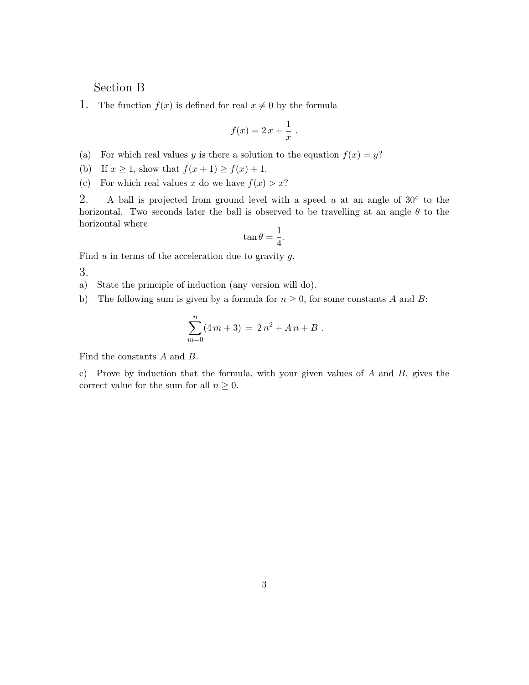## Section B

1. The function  $f(x)$  is defined for real  $x \neq 0$  by the formula

$$
f(x) = 2x + \frac{1}{x}.
$$

- (a) For which real values y is there a solution to the equation  $f(x) = y$ ?
- (b) If  $x \geq 1$ , show that  $f(x+1) \geq f(x)+1$ .

(c) For which real values x do we have  $f(x) > x$ ?

2. A ball is projected from ground level with a speed u at an angle of  $30°$  to the horizontal. Two seconds later the ball is observed to be travelling at an angle  $\theta$  to the horizontal where

$$
\tan \theta = \frac{1}{4}.
$$

Find  $u$  in terms of the acceleration due to gravity  $g$ .

3.

a) State the principle of induction (any version will do).

b) The following sum is given by a formula for  $n \geq 0$ , for some constants A and B:

$$
\sum_{m=0}^{n} (4m+3) = 2n^2 + An + B.
$$

Find the constants A and B.

c) Prove by induction that the formula, with your given values of  $A$  and  $B$ , gives the correct value for the sum for all  $n \geq 0$ .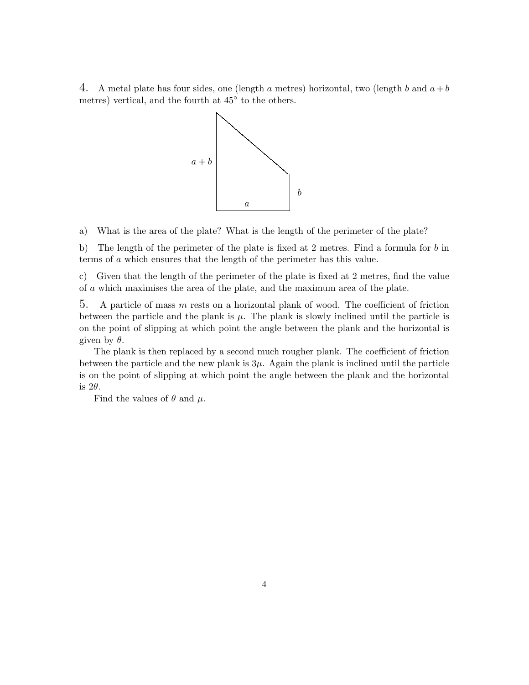4. A metal plate has four sides, one (length a metres) horizontal, two (length b and  $a + b$ metres) vertical, and the fourth at 45◦ to the others.



a) What is the area of the plate? What is the length of the perimeter of the plate?

b) The length of the perimeter of the plate is fixed at 2 metres. Find a formula for  $b$  in terms of a which ensures that the length of the perimeter has this value.

c) Given that the length of the perimeter of the plate is fixed at 2 metres, find the value of a which maximises the area of the plate, and the maximum area of the plate.

5. A particle of mass m rests on a horizontal plank of wood. The coefficient of friction between the particle and the plank is  $\mu$ . The plank is slowly inclined until the particle is on the point of slipping at which point the angle between the plank and the horizontal is given by  $\theta$ .

The plank is then replaced by a second much rougher plank. The coefficient of friction between the particle and the new plank is  $3\mu$ . Again the plank is inclined until the particle is on the point of slipping at which point the angle between the plank and the horizontal is  $2\theta$ .

Find the values of  $\theta$  and  $\mu$ .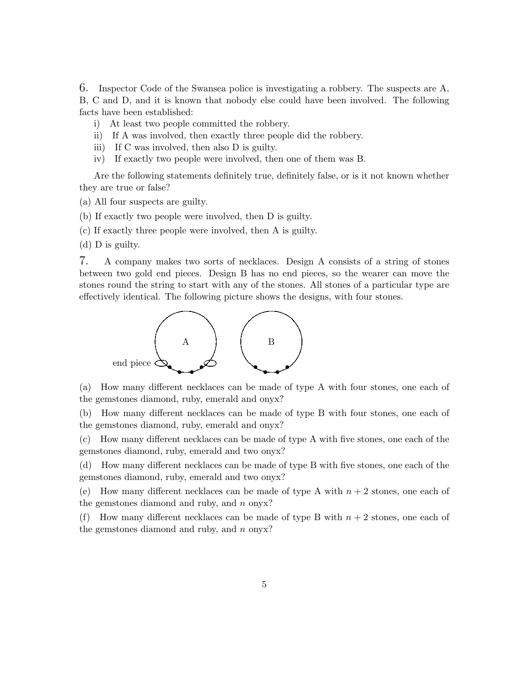6. Inspector Code of the Swansea police is investigating a robbery. The suspects are A, B, C and D, and it is known that nobody else could have been involved. The following facts have been established:

- i) At least two people committed the robbery.
- ii) If A was involved, then exactly three people did the robbery.
- iii) If C was involved, then also D is guilty.
- iv) If exactly two people were involved, then one of them was B.

Are the following statements definitely true, definitely false, or is it not known whether they are true or false?

(a) All four suspects are guilty.

(b) If exactly two people were involved, then D is guilty.

(c) If exactly three people were involved, then A is guilty.

(d) D is guilty.

7. A company makes two sorts of necklaces. Design A consists of a string of stones between two gold end pieces. Design B has no end pieces, so the wearer can move the stones round the string to start with any of the stones. All stones of a particular type are effectively identical. The following picture shows the designs, with four stones.



(a) How many different necklaces can be made of type A with four stones, one each of the gemstones diamond, ruby, emerald and onyx?

(b) How many different necklaces can be made of type B with four stones, one each of the gemstones diamond, ruby, emerald and onyx?

(c) How many different necklaces can be made of type A with five stones, one each of the gemstones diamond, ruby, emerald and two onyx?

(d) How many different necklaces can be made of type B with five stones, one each of the gemstones diamond, ruby, emerald and two onyx?

(e) How many different necklaces can be made of type A with  $n + 2$  stones, one each of the gemstones diamond and ruby, and  $n$  onyx?

(f) How many different necklaces can be made of type B with  $n + 2$  stones, one each of the gemstones diamond and ruby, and  $n$  onyx?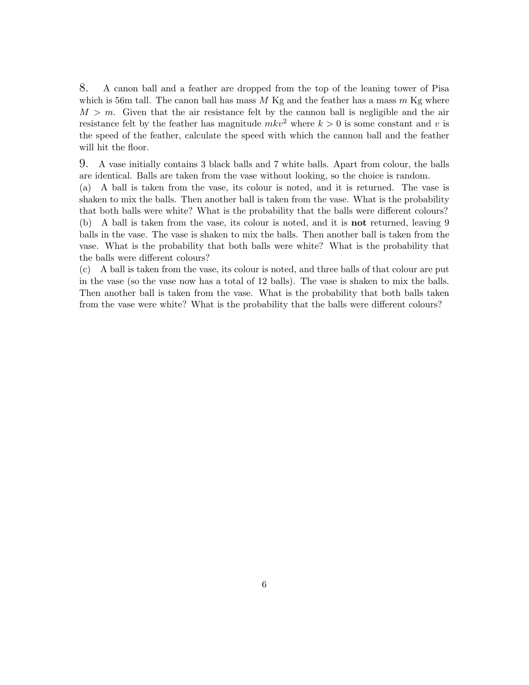8. A canon ball and a feather are dropped from the top of the leaning tower of Pisa which is 56m tall. The canon ball has mass  $M$  Kg and the feather has a mass  $m$  Kg where  $M > m$ . Given that the air resistance felt by the cannon ball is negligible and the air resistance felt by the feather has magnitude  $mkv^2$  where  $k > 0$  is some constant and v is the speed of the feather, calculate the speed with which the cannon ball and the feather will hit the floor.

9. A vase initially contains 3 black balls and 7 white balls. Apart from colour, the balls are identical. Balls are taken from the vase without looking, so the choice is random. (a) A ball is taken from the vase, its colour is noted, and it is returned. The vase is shaken to mix the balls. Then another ball is taken from the vase. What is the probability that both balls were white? What is the probability that the balls were different colours? (b) A ball is taken from the vase, its colour is noted, and it is not returned, leaving 9 balls in the vase. The vase is shaken to mix the balls. Then another ball is taken from the vase. What is the probability that both balls were white? What is the probability that the balls were different colours?

(c) A ball is taken from the vase, its colour is noted, and three balls of that colour are put in the vase (so the vase now has a total of 12 balls). The vase is shaken to mix the balls. Then another ball is taken from the vase. What is the probability that both balls taken from the vase were white? What is the probability that the balls were different colours?